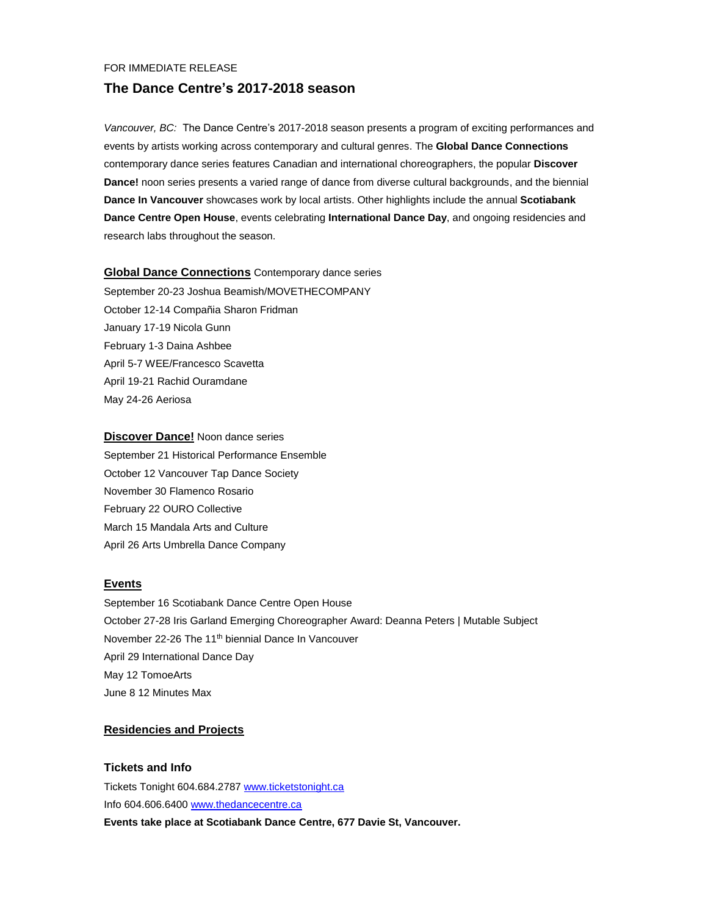#### FOR IMMEDIATE RELEASE

### **The Dance Centre's 2017-2018 season**

*Vancouver, BC:* The Dance Centre's 2017-2018 season presents a program of exciting performances and events by artists working across contemporary and cultural genres. The **Global Dance Connections** contemporary dance series features Canadian and international choreographers, the popular **Discover Dance!** noon series presents a varied range of dance from diverse cultural backgrounds, and the biennial **Dance In Vancouver** showcases work by local artists. Other highlights include the annual **Scotiabank Dance Centre Open House**, events celebrating **International Dance Day**, and ongoing residencies and research labs throughout the season.

### **Global Dance Connections** Contemporary dance series

September 20-23 Joshua Beamish/MOVETHECOMPANY October 12-14 Compañia Sharon Fridman January 17-19 Nicola Gunn February 1-3 Daina Ashbee April 5-7 WEE/Francesco Scavetta April 19-21 Rachid Ouramdane May 24-26 Aeriosa

#### **Discover Dance!** Noon dance series

September 21 Historical Performance Ensemble October 12 Vancouver Tap Dance Society November 30 Flamenco Rosario February 22 OURO Collective March 15 Mandala Arts and Culture April 26 Arts Umbrella Dance Company

#### **Events**

September 16 Scotiabank Dance Centre Open House October 27-28 Iris Garland Emerging Choreographer Award: Deanna Peters | Mutable Subject November 22-26 The 11<sup>th</sup> biennial Dance In Vancouver April 29 International Dance Day May 12 TomoeArts June 8 12 Minutes Max

#### **Residencies and Projects**

### **Tickets and Info**

Tickets Tonight 604.684.2787 [www.ticketstonight.ca](http://www.ticketstonight.ca/) Info 604.606.6400 [www.thedancecentre.ca](http://www.thedancecentre.ca/) **Events take place at Scotiabank Dance Centre, 677 Davie St, Vancouver.**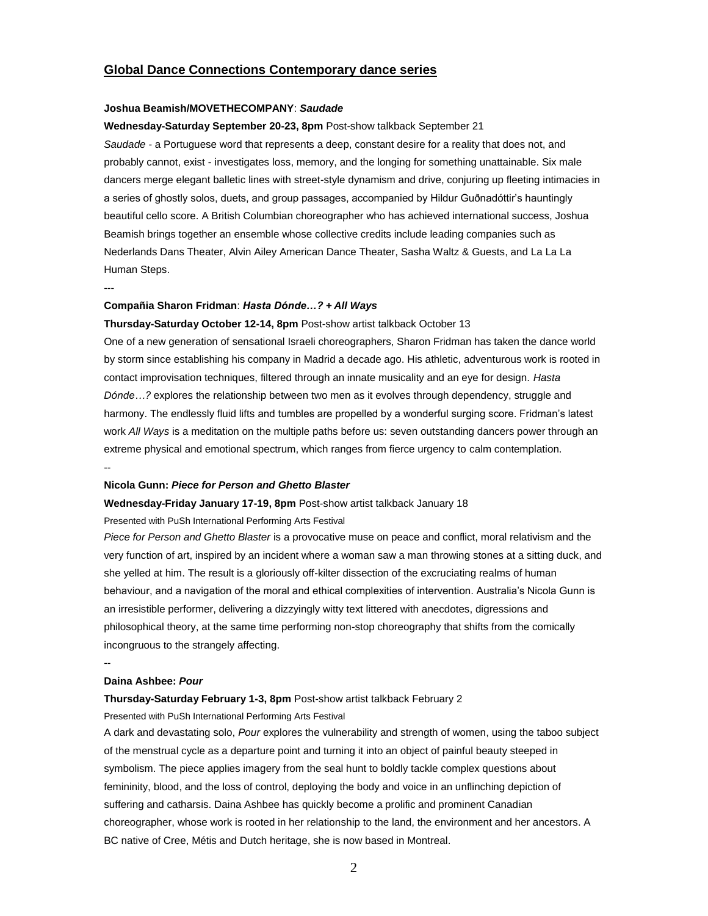### **Global Dance Connections Contemporary dance series**

### **Joshua Beamish/MOVETHECOMPANY**: *Saudade*

#### **Wednesday-Saturday September 20-23, 8pm** Post-show talkback September 21

*Saudade -* a Portuguese word that represents a deep, constant desire for a reality that does not, and probably cannot, exist - investigates loss, memory, and the longing for something unattainable. Six male dancers merge elegant balletic lines with street-style dynamism and drive, conjuring up fleeting intimacies in a series of ghostly solos, duets, and group passages, accompanied by Hildur Guðnadóttir's hauntingly beautiful cello score. A British Columbian choreographer who has achieved international success, Joshua Beamish brings together an ensemble whose collective credits include leading companies such as Nederlands Dans Theater, Alvin Ailey American Dance Theater, Sasha Waltz & Guests, and La La La Human Steps.

---

#### **Compañia Sharon Fridman**: *Hasta Dónde…?* **+** *All Ways*

#### **Thursday-Saturday October 12-14, 8pm** Post-show artist talkback October 13

One of a new generation of sensational Israeli choreographers, Sharon Fridman has taken the dance world by storm since establishing his company in Madrid a decade ago. His athletic, adventurous work is rooted in contact improvisation techniques, filtered through an innate musicality and an eye for design. *Hasta Dónde…?* explores the relationship between two men as it evolves through dependency, struggle and harmony. The endlessly fluid lifts and tumbles are propelled by a wonderful surging score. Fridman's latest work *All Ways* is a meditation on the multiple paths before us: seven outstanding dancers power through an extreme physical and emotional spectrum, which ranges from fierce urgency to calm contemplation. --

#### **Nicola Gunn:** *Piece for Person and Ghetto Blaster*

#### **Wednesday-Friday January 17-19, 8pm** Post-show artist talkback January 18

#### Presented with PuSh International Performing Arts Festival

*Piece for Person and Ghetto Blaster* is a provocative muse on peace and conflict, moral relativism and the very function of art, inspired by an incident where a woman saw a man throwing stones at a sitting duck, and she yelled at him. The result is a gloriously off-kilter dissection of the excruciating realms of human behaviour, and a navigation of the moral and ethical complexities of intervention. Australia's Nicola Gunn is an irresistible performer, delivering a dizzyingly witty text littered with anecdotes, digressions and philosophical theory, at the same time performing non-stop choreography that shifts from the comically incongruous to the strangely affecting.

#### **Daina Ashbee:** *Pour*

 $-$ 

#### **Thursday-Saturday February 1-3, 8pm** Post-show artist talkback February 2

#### Presented with PuSh International Performing Arts Festival

A dark and devastating solo, *Pour* explores the vulnerability and strength of women, using the taboo subject of the menstrual cycle as a departure point and turning it into an object of painful beauty steeped in symbolism. The piece applies imagery from the seal hunt to boldly tackle complex questions about femininity, blood, and the loss of control, deploying the body and voice in an unflinching depiction of suffering and catharsis. Daina Ashbee has quickly become a prolific and prominent Canadian choreographer, whose work is rooted in her relationship to the land, the environment and her ancestors. A BC native of Cree, Métis and Dutch heritage, she is now based in Montreal.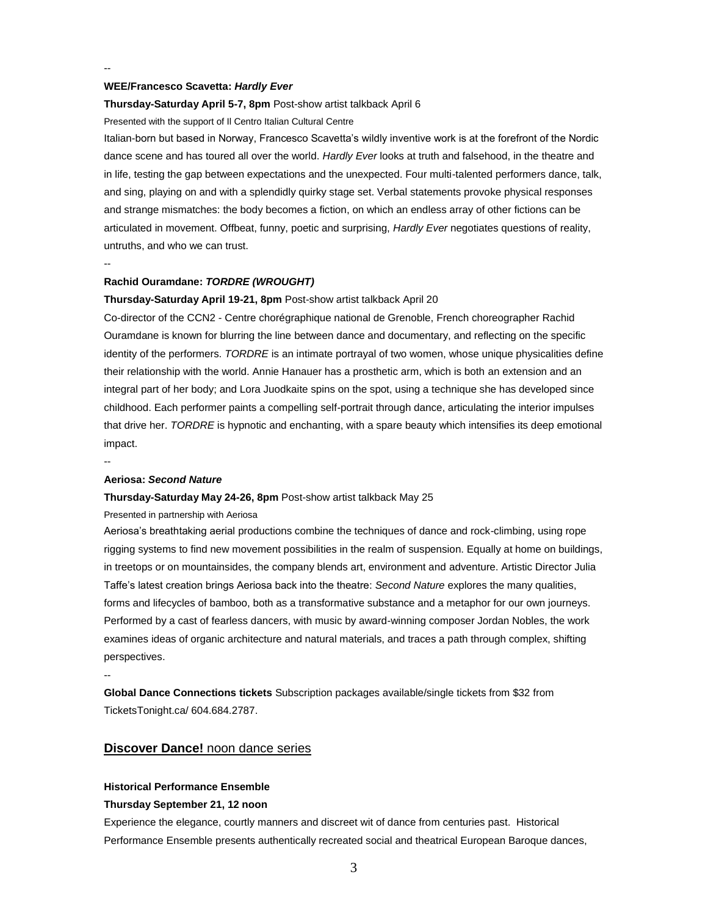#### **WEE/Francesco Scavetta:** *Hardly Ever*

#### **Thursday-Saturday April 5-7, 8pm** Post-show artist talkback April 6

Presented with the support of Il Centro Italian Cultural Centre

Italian-born but based in Norway, Francesco Scavetta's wildly inventive work is at the forefront of the Nordic dance scene and has toured all over the world. *Hardly Ever* looks at truth and falsehood, in the theatre and in life, testing the gap between expectations and the unexpected. Four multi-talented performers dance, talk, and sing, playing on and with a splendidly quirky stage set. Verbal statements provoke physical responses and strange mismatches: the body becomes a fiction, on which an endless array of other fictions can be articulated in movement. Offbeat, funny, poetic and surprising, *Hardly Ever* negotiates questions of reality, untruths, and who we can trust.

#### **Rachid Ouramdane:** *TORDRE (WROUGHT)*

#### **Thursday-Saturday April 19-21, 8pm** Post-show artist talkback April 20

Co-director of the CCN2 - Centre chorégraphique national de Grenoble, French choreographer Rachid Ouramdane is known for blurring the line between dance and documentary, and reflecting on the specific identity of the performers. *TORDRE* is an intimate portrayal of two women, whose unique physicalities define their relationship with the world. Annie Hanauer has a prosthetic arm, which is both an extension and an integral part of her body; and Lora Juodkaite spins on the spot, using a technique she has developed since childhood. Each performer paints a compelling self-portrait through dance, articulating the interior impulses that drive her. *TORDRE* is hypnotic and enchanting, with a spare beauty which intensifies its deep emotional impact.

--

--

--

#### **Aeriosa:** *Second Nature*

#### **Thursday-Saturday May 24-26, 8pm** Post-show artist talkback May 25

Presented in partnership with Aeriosa

Aeriosa's breathtaking aerial productions combine the techniques of dance and rock-climbing, using rope rigging systems to find new movement possibilities in the realm of suspension. Equally at home on buildings, in treetops or on mountainsides, the company blends art, environment and adventure. Artistic Director Julia Taffe's latest creation brings Aeriosa back into the theatre: *Second Nature* explores the many qualities, forms and lifecycles of bamboo, both as a transformative substance and a metaphor for our own journeys. Performed by a cast of fearless dancers, with music by award-winning composer Jordan Nobles, the work examines ideas of organic architecture and natural materials, and traces a path through complex, shifting perspectives.

--

**Global Dance Connections tickets** Subscription packages available/single tickets from \$32 from TicketsTonight.ca/ 604.684.2787.

### **Discover Dance!** noon dance series

#### **Historical Performance Ensemble**

#### **Thursday September 21, 12 noon**

Experience the elegance, courtly manners and discreet wit of dance from centuries past. Historical Performance Ensemble presents authentically recreated social and theatrical European Baroque dances,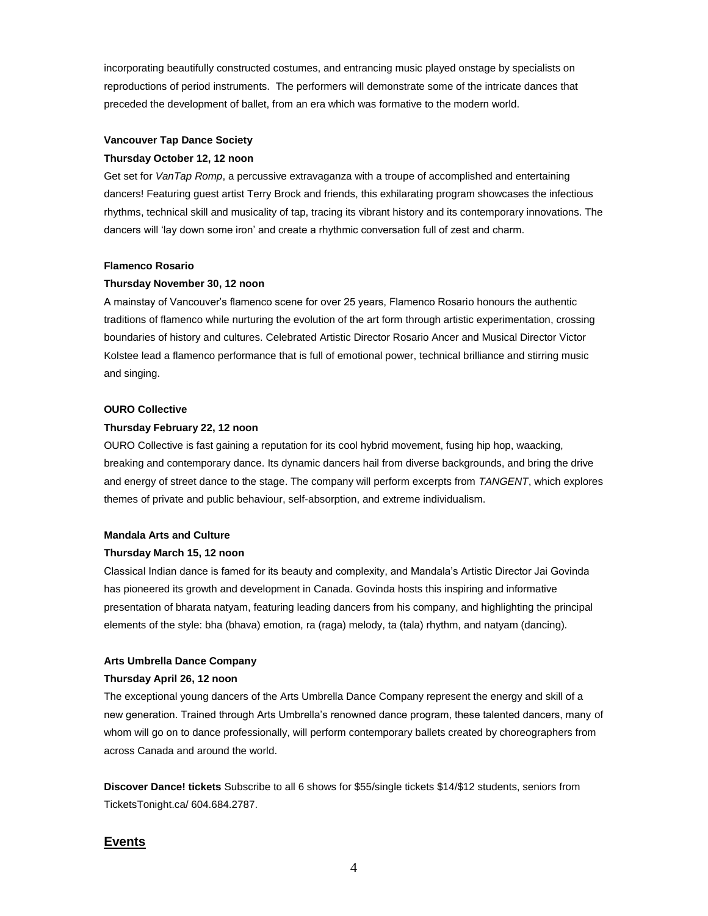incorporating beautifully constructed costumes, and entrancing music played onstage by specialists on reproductions of period instruments. The performers will demonstrate some of the intricate dances that preceded the development of ballet, from an era which was formative to the modern world.

#### **Vancouver Tap Dance Society**

#### **Thursday October 12, 12 noon**

Get set for *VanTap Romp*, a percussive extravaganza with a troupe of accomplished and entertaining dancers! Featuring guest artist Terry Brock and friends, this exhilarating program showcases the infectious rhythms, technical skill and musicality of tap, tracing its vibrant history and its contemporary innovations. The dancers will 'lay down some iron' and create a rhythmic conversation full of zest and charm.

#### **Flamenco Rosario**

#### **Thursday November 30, 12 noon**

A mainstay of Vancouver's flamenco scene for over 25 years, Flamenco Rosario honours the authentic traditions of flamenco while nurturing the evolution of the art form through artistic experimentation, crossing boundaries of history and cultures. Celebrated Artistic Director Rosario Ancer and Musical Director Victor Kolstee lead a flamenco performance that is full of emotional power, technical brilliance and stirring music and singing.

#### **OURO Collective**

#### **Thursday February 22, 12 noon**

OURO Collective is fast gaining a reputation for its cool hybrid movement, fusing hip hop, waacking, breaking and contemporary dance. Its dynamic dancers hail from diverse backgrounds, and bring the drive and energy of street dance to the stage. The company will perform excerpts from *TANGENT*, which explores themes of private and public behaviour, self-absorption, and extreme individualism.

#### **Mandala Arts and Culture**

#### **Thursday March 15, 12 noon**

Classical Indian dance is famed for its beauty and complexity, and Mandala's Artistic Director Jai Govinda has pioneered its growth and development in Canada. Govinda hosts this inspiring and informative presentation of bharata natyam, featuring leading dancers from his company, and highlighting the principal elements of the style: bha (bhava) emotion, ra (raga) melody, ta (tala) rhythm, and natyam (dancing).

#### **Arts Umbrella Dance Company**

#### **Thursday April 26, 12 noon**

The exceptional young dancers of the Arts Umbrella Dance Company represent the energy and skill of a new generation. Trained through Arts Umbrella's renowned dance program, these talented dancers, many of whom will go on to dance professionally, will perform contemporary ballets created by choreographers from across Canada and around the world.

**Discover Dance! tickets** Subscribe to all 6 shows for \$55/single tickets \$14/\$12 students, seniors from TicketsTonight.ca/ 604.684.2787.

### **Events**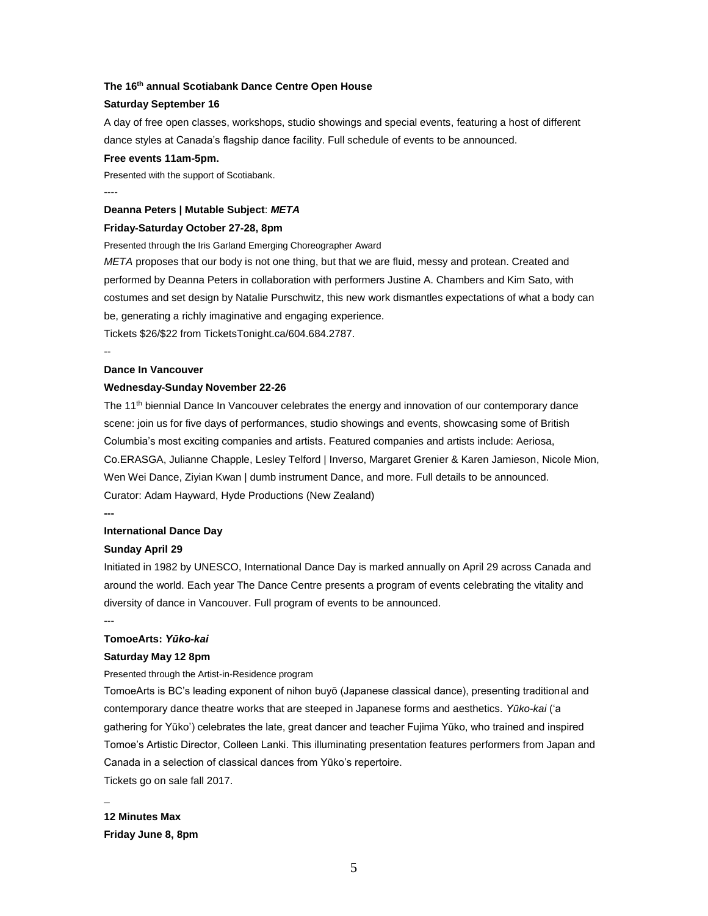#### **The 16 th annual Scotiabank Dance Centre Open House**

#### **Saturday September 16**

A day of free open classes, workshops, studio showings and special events, featuring a host of different dance styles at Canada's flagship dance facility. Full schedule of events to be announced.

#### **Free events 11am-5pm.**

Presented with the support of Scotiabank. ----

#### **Deanna Peters | Mutable Subject**: *META*

#### **Friday-Saturday October 27-28, 8pm**

Presented through the Iris Garland Emerging Choreographer Award

*META* proposes that our body is not one thing, but that we are fluid, messy and protean. Created and performed by Deanna Peters in collaboration with performers Justine A. Chambers and Kim Sato, with costumes and set design by Natalie Purschwitz, this new work dismantles expectations of what a body can be, generating a richly imaginative and engaging experience.

Tickets \$26/\$22 from TicketsTonight.ca/604.684.2787.

--

#### **Dance In Vancouver**

#### **Wednesday-Sunday November 22-26**

The 11<sup>th</sup> biennial Dance In Vancouver celebrates the energy and innovation of our contemporary dance scene: join us for five days of performances, studio showings and events, showcasing some of British Columbia's most exciting companies and artists. Featured companies and artists include: Aeriosa, Co.ERASGA, Julianne Chapple, Lesley Telford | Inverso, Margaret Grenier & Karen Jamieson, Nicole Mion, Wen Wei Dance, Ziyian Kwan | dumb instrument Dance, and more. Full details to be announced. Curator: Adam Hayward, Hyde Productions (New Zealand)

**---**

#### **International Dance Day**

#### **Sunday April 29**

Initiated in 1982 by UNESCO, International Dance Day is marked annually on April 29 across Canada and around the world. Each year The Dance Centre presents a program of events celebrating the vitality and diversity of dance in Vancouver. Full program of events to be announced.

---

**\_**

### **TomoeArts:** *Yūko-kai*

#### **Saturday May 12 8pm**

Presented through the Artist-in-Residence program

TomoeArts is BC's leading exponent of nihon buyō (Japanese classical dance), presenting traditional and contemporary dance theatre works that are steeped in Japanese forms and aesthetics. *Yūko-kai* ('a gathering for Yūko') celebrates the late, great dancer and teacher Fujima Yūko, who trained and inspired Tomoe's Artistic Director, Colleen Lanki. This illuminating presentation features performers from Japan and Canada in a selection of classical dances from Yūko's repertoire.

Tickets go on sale fall 2017.

## **12 Minutes Max**

**Friday June 8, 8pm**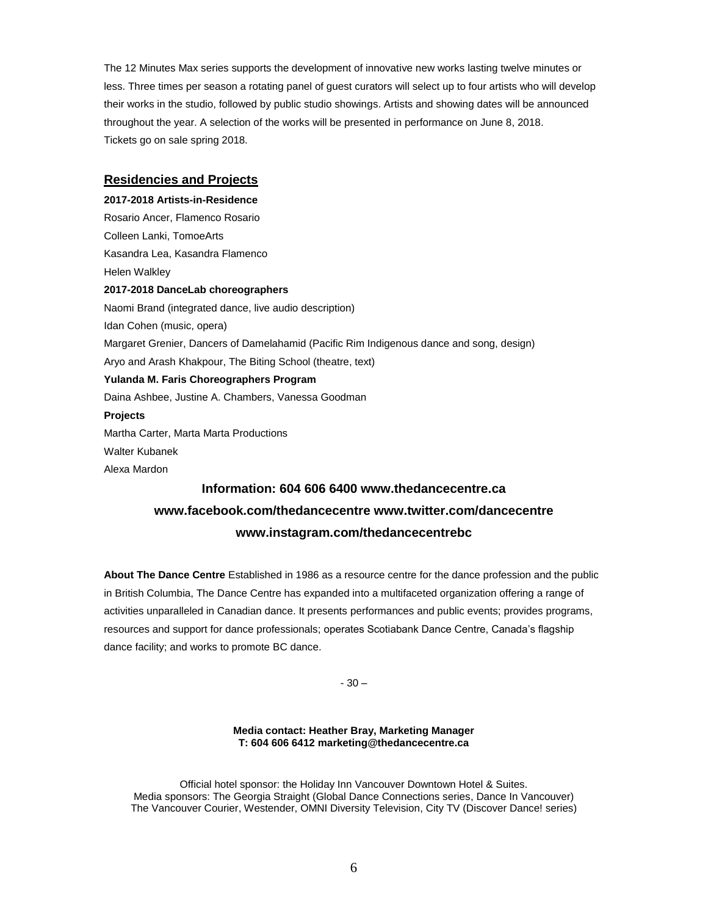The 12 Minutes Max series supports the development of innovative new works lasting twelve minutes or less. Three times per season a rotating panel of guest curators will select up to four artists who will develop their works in the studio, followed by public studio showings. Artists and showing dates will be announced throughout the year. A selection of the works will be presented in performance on June 8, 2018. Tickets go on sale spring 2018.

### **Residencies and Projects**

**2017-2018 Artists-in-Residence** Rosario Ancer, Flamenco Rosario Colleen Lanki, TomoeArts Kasandra Lea, Kasandra Flamenco Helen Walkley **2017-2018 DanceLab choreographers** Naomi Brand (integrated dance, live audio description) Idan Cohen (music, opera) Margaret Grenier, Dancers of Damelahamid (Pacific Rim Indigenous dance and song, design) Aryo and Arash Khakpour, The Biting School (theatre, text) **Yulanda M. Faris Choreographers Program** Daina Ashbee, Justine A. Chambers, Vanessa Goodman **Projects** Martha Carter, Marta Marta Productions Walter Kubanek Alexa Mardon **Information: 604 606 6400 www.thedancecentre.ca**

# **www.facebook.com/thedancecentre www.twitter.com/dancecentre www.instagram.com/thedancecentrebc**

**About The Dance Centre** Established in 1986 as a resource centre for the dance profession and the public in British Columbia, The Dance Centre has expanded into a multifaceted organization offering a range of activities unparalleled in Canadian dance. It presents performances and public events; provides programs, resources and support for dance professionals; operates Scotiabank Dance Centre, Canada's flagship dance facility; and works to promote BC dance.

- 30 –

#### **Media contact: Heather Bray, Marketing Manager T: 604 606 6412 marketing@thedancecentre.ca**

Official hotel sponsor: the Holiday Inn Vancouver Downtown Hotel & Suites. Media sponsors: The Georgia Straight (Global Dance Connections series, Dance In Vancouver) The Vancouver Courier, Westender, OMNI Diversity Television, City TV (Discover Dance! series)